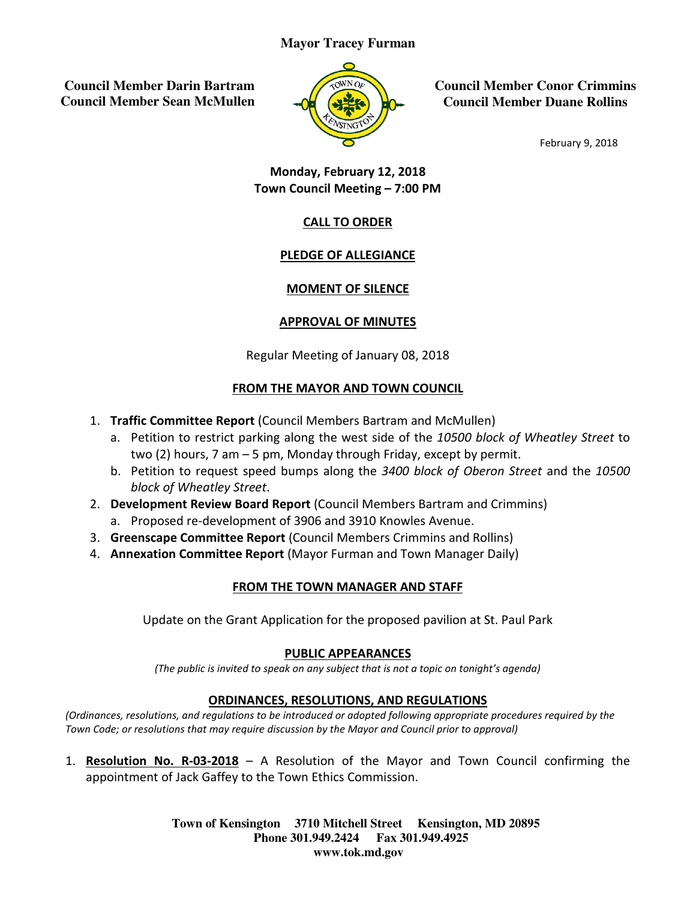#### **Mayor Tracey Furman**

 **Council Member Darin Bartram Council Member Sean McMullen** 



**Council Member Conor Crimmins Council Member Duane Rollins**

February 9, 2018

## Town Council Council Meeting – 7:00 PM Monday, February 12, 2018

# CALL TO ORDER

# PLEDGE OF ALLEGIANCE

### MOMENT OF SILENCE

### APPROVAL OF MINUTES

Regular Meeting of January 08, 2018

#### **FROM THE MAYOR AND TOWN COUNCIL**

- 1. Traffic Committee Report (Council Members Bartram and McMullen)
- a. Petition to restrict parking along the west side of the 10500 block of Wheatley Street to two (2) hours, 7 am – 5 pm, Monday through Friday, except by permit. Council Member Conor Crim<br>
Council Member Duane Rol<br>
February 9, 20<br>
Anday, February 12, 2018<br>
February 9, 20<br>
Technology, February 12, 2018<br>
C<u>ALL TO ORDER</u><br>
PLEDGE OF ALLEGIANCE<br>
MOMENT OF SILENCE<br>
APPROVAL OF MINUTES<br>
J
	- two (2) hours, 7 am 5 pm, Monday through Friday, except by permit.<br>b. Petition to request speed bumps along the 3400 block of Oberon Street and the 10500 block of Wheatley Street.
- 2. Development Review Board Report (Council Members Bartram and Crimmins)
	- a. Proposed re-development of 3906 and 3910 Knowles Avenue.
- a. Proposed re-development of 3906 and 3910 Knowles Avenue.<br>3. Greenscape Committee Report (Council Members Crimmins and Rollins)
- 4. Annexation Committee Report (Mayor Furman and Town Manager Daily)

### **FROM THE TOWN MANAGER AND STAFF**

Update on the Grant Application for the proposed pavilion at St. Paul Park

#### PUBLIC APPEARANCES

(The public is invited to speak on any subject that is not a topic on tonight's agenda)

### ORDINANCES, RESOLUTIONS, AND REGULATIONS

(Ordinances, resolutions, and regulations to be introduced or adopted following appropriate procedures required by the<br>Town Code; or resolutions that may require discussion by the Mayor and Council prior to approval) Town Code; or resolutions that may require discussion by the Mayor and Council prior to approval

1. Resolution No. R-03-2018 - A Resolution of the Mayor and Town Council confirming the appointment of Jack Gaffey to the Town Ethics Commission.

> **Town of Kensington Kensington 3710 Mitchell Street Kensington, MD 20895 Phone 301.949.2424 301.949.2424 Fax 301.949.4925 www.tok.md.gov**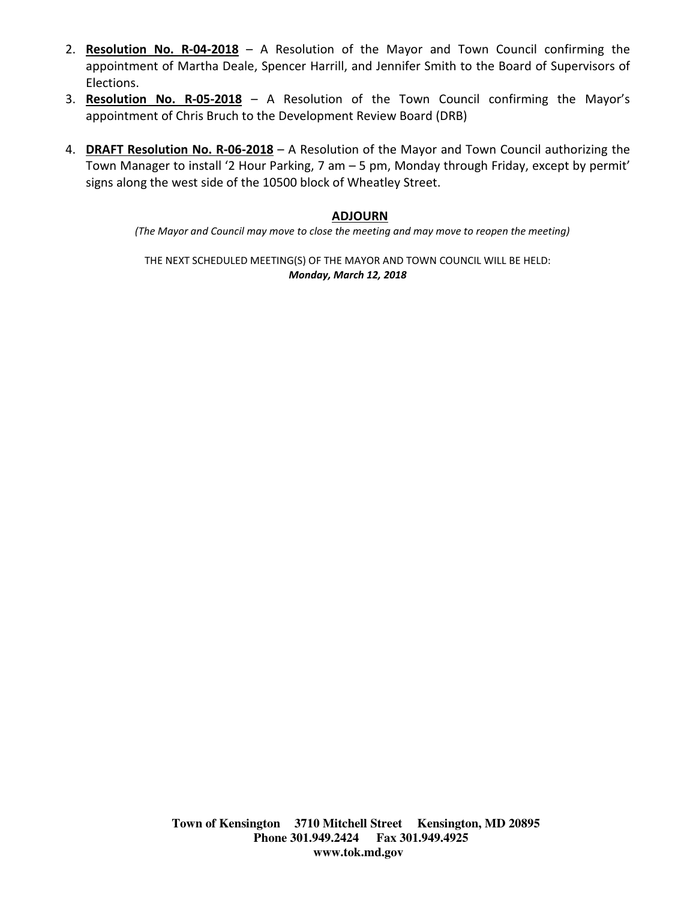- 2. Resolution No. R-04-2018 A Resolution of the Mayor and Town Council confirming the appointment of Martha Deale, Spencer Harrill, and Jennifer Smith to the Board of Supervisors of Elections.
- 3. Resolution No. R-05-2018 A Resolution of the Town Council confirming the Mayor's appointment of Chris Bruch to the Development Review Board (DRB)
- 4. **DRAFT Resolution No. R-06-2018** A Resolution of the Mayor and Town Council authorizing the Town Manager to install '2 Hour Parking, 7 am – 5 pm, Monday through Friday, except by permit' signs along the west side of the 10500 block of Wheatley Street.

#### ADJOURN

(The Mayor and Council may move to close the meeting and may move to reopen the meeting)

THE NEXT SCHEDULED MEETING(S) OF THE MAYOR AND TOWN COUNCIL WILL BE HELD: Monday, March 12, 2018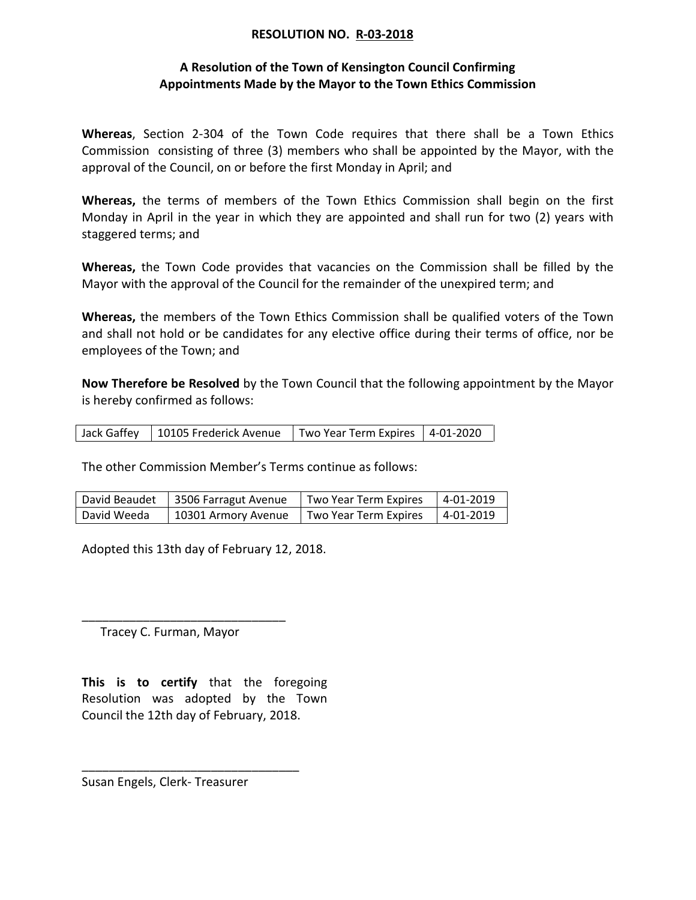#### RESOLUTION NO. R-03-2018

### A Resolution of the Town of Kensington Council Confirming Appointments Made by the Mayor to the Town Ethics Commission

Whereas, Section 2-304 of the Town Code requires that there shall be a Town Ethics Commission consisting of three (3) members who shall be appointed by the Mayor, with the approval of the Council, on or before the first Monday in April; and

Whereas, the terms of members of the Town Ethics Commission shall begin on the first Monday in April in the year in which they are appointed and shall run for two (2) years with staggered terms; and

Whereas, the Town Code provides that vacancies on the Commission shall be filled by the Mayor with the approval of the Council for the remainder of the unexpired term; and

Whereas, the members of the Town Ethics Commission shall be qualified voters of the Town and shall not hold or be candidates for any elective office during their terms of office, nor be employees of the Town; and

Now Therefore be Resolved by the Town Council that the following appointment by the Mayor is hereby confirmed as follows:

| Jack Gaffey   10105 Frederick Avenue | Two Year Term Expires   4-01-2020 |  |
|--------------------------------------|-----------------------------------|--|
|                                      |                                   |  |

The other Commission Member's Terms continue as follows:

| David Beaudet | 3506 Farragut Avenue | Two Year Term Expires | 4-01-2019 |
|---------------|----------------------|-----------------------|-----------|
| David Weeda   | 10301 Armory Avenue  | Two Year Term Expires | 4-01-2019 |

Adopted this 13th day of February 12, 2018.

Tracey C. Furman, Mayor

\_\_\_\_\_\_\_\_\_\_\_\_\_\_\_\_\_\_\_\_\_\_\_\_\_\_\_\_\_\_

This is to certify that the foregoing Resolution was adopted by the Town Council the 12th day of February, 2018.

\_\_\_\_\_\_\_\_\_\_\_\_\_\_\_\_\_\_\_\_\_\_\_\_\_\_\_\_\_\_\_\_

Susan Engels, Clerk- Treasurer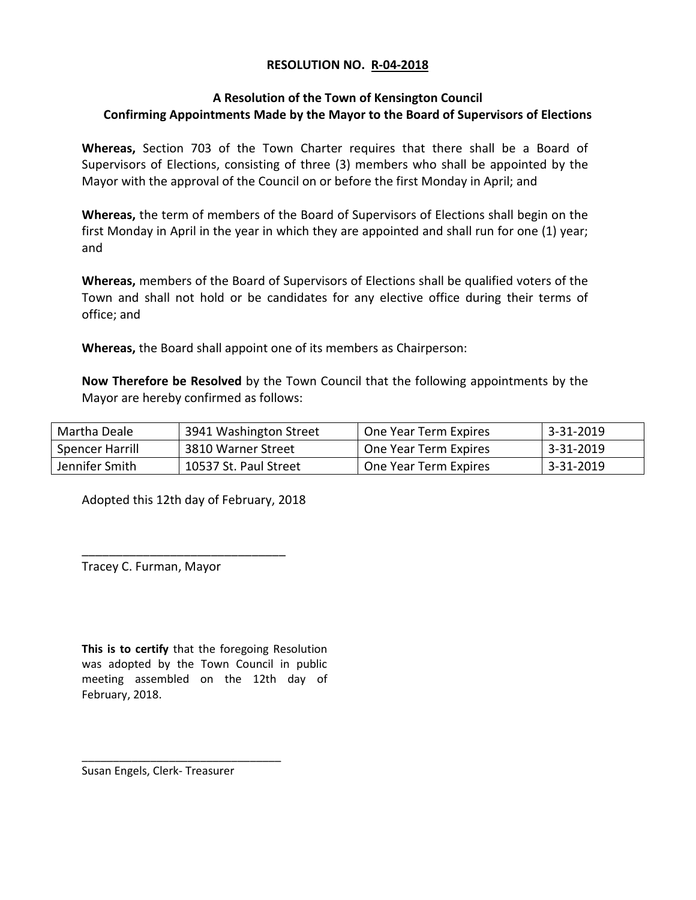#### RESOLUTION NO. R-04-2018

### A Resolution of the Town of Kensington Council Confirming Appointments Made by the Mayor to the Board of Supervisors of Elections

Whereas, Section 703 of the Town Charter requires that there shall be a Board of Supervisors of Elections, consisting of three (3) members who shall be appointed by the Mayor with the approval of the Council on or before the first Monday in April; and

Whereas, the term of members of the Board of Supervisors of Elections shall begin on the first Monday in April in the year in which they are appointed and shall run for one (1) year; and

Whereas, members of the Board of Supervisors of Elections shall be qualified voters of the Town and shall not hold or be candidates for any elective office during their terms of office; and

Whereas, the Board shall appoint one of its members as Chairperson:

Now Therefore be Resolved by the Town Council that the following appointments by the Mayor are hereby confirmed as follows:

| Martha Deale    | 3941 Washington Street | One Year Term Expires | 3-31-2019 |
|-----------------|------------------------|-----------------------|-----------|
| Spencer Harrill | 3810 Warner Street     | One Year Term Expires | 3-31-2019 |
| Jennifer Smith  | 10537 St. Paul Street  | One Year Term Expires | 3-31-2019 |

Adopted this 12th day of February, 2018

\_\_\_\_\_\_\_\_\_\_\_\_\_\_\_\_\_\_\_\_\_\_\_\_\_\_\_\_\_\_

Tracey C. Furman, Mayor

This is to certify that the foregoing Resolution was adopted by the Town Council in public meeting assembled on the 12th day of February, 2018.

Susan Engels, Clerk- Treasurer

\_\_\_\_\_\_\_\_\_\_\_\_\_\_\_\_\_\_\_\_\_\_\_\_\_\_\_\_\_\_\_\_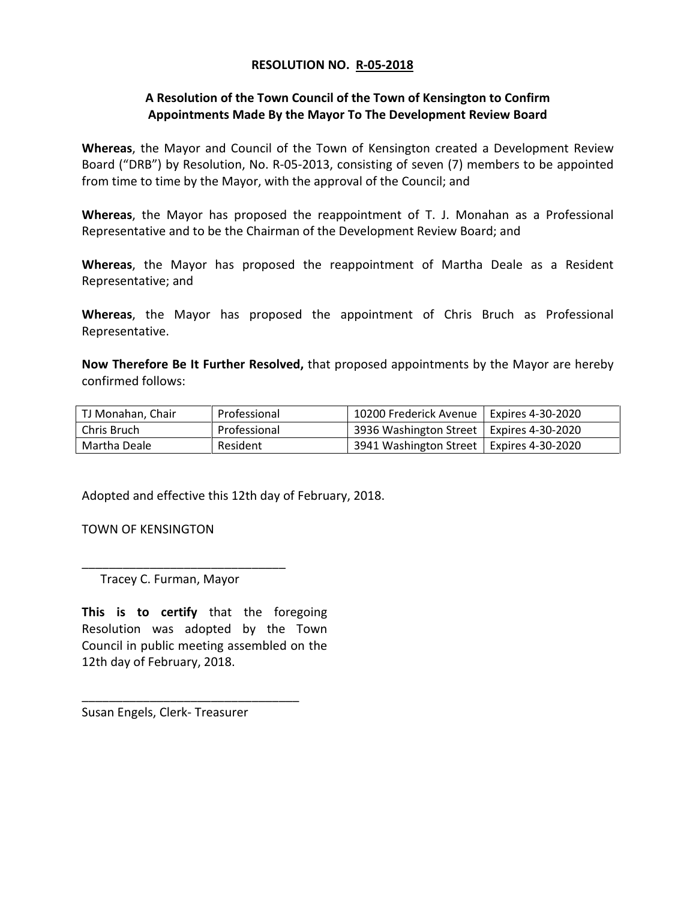#### RESOLUTION NO. R-05-2018

### A Resolution of the Town Council of the Town of Kensington to Confirm Appointments Made By the Mayor To The Development Review Board

Whereas, the Mayor and Council of the Town of Kensington created a Development Review Board ("DRB") by Resolution, No. R-05-2013, consisting of seven (7) members to be appointed from time to time by the Mayor, with the approval of the Council; and

Whereas, the Mayor has proposed the reappointment of T. J. Monahan as a Professional Representative and to be the Chairman of the Development Review Board; and

Whereas, the Mayor has proposed the reappointment of Martha Deale as a Resident Representative; and

Whereas, the Mayor has proposed the appointment of Chris Bruch as Professional Representative.

Now Therefore Be It Further Resolved, that proposed appointments by the Mayor are hereby confirmed follows:

| TJ Monahan, Chair | Professional | 10200 Frederick Avenue   Expires 4-30-2020 |  |
|-------------------|--------------|--------------------------------------------|--|
| l Chris Bruch     | Professional | 3936 Washington Street   Expires 4-30-2020 |  |
| Martha Deale      | Resident     | 3941 Washington Street   Expires 4-30-2020 |  |

Adopted and effective this 12th day of February, 2018.

TOWN OF KENSINGTON

Tracey C. Furman, Mayor

\_\_\_\_\_\_\_\_\_\_\_\_\_\_\_\_\_\_\_\_\_\_\_\_\_\_\_\_\_\_

This is to certify that the foregoing Resolution was adopted by the Town Council in public meeting assembled on the 12th day of February, 2018.

\_\_\_\_\_\_\_\_\_\_\_\_\_\_\_\_\_\_\_\_\_\_\_\_\_\_\_\_\_\_\_\_

Susan Engels, Clerk- Treasurer